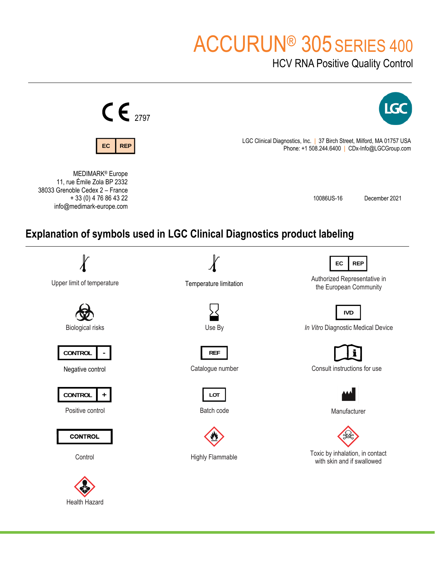# ACCURUN® 305 SERIES 400

HCV RNA Positive Quality Control



Health Hazard